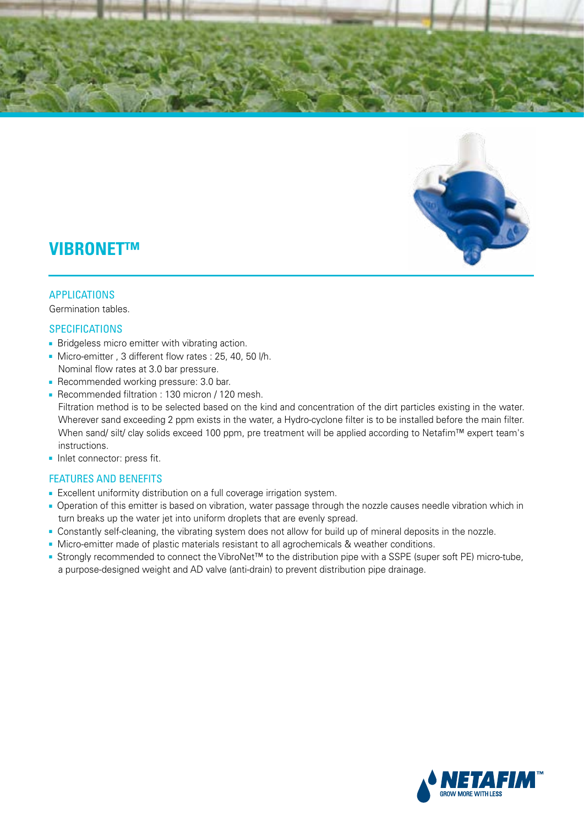



# **VIBRONET™**

#### APPLICATIONS

Germination tables.

#### **SPECIFICATIONS**

- **Bridgeless micro emitter with vibrating action.**
- Micro-emitter , 3 different flow rates : 25, 40, 50 l/h. Nominal flow rates at 3.0 bar pressure.
- Recommended working pressure: 3.0 bar.
- Recommended filtration : 130 micron / 120 mesh. Filtration method is to be selected based on the kind and concentration of the dirt particles existing in the water. Wherever sand exceeding 2 ppm exists in the water, a Hydro-cyclone filter is to be installed before the main filter. When sand/ silt/ clay solids exceed 100 ppm, pre treatment will be applied according to Netafim™ expert team's instructions.
- Inlet connector: press fit.

## FEATURES AND BENEFITS

- Excellent uniformity distribution on a full coverage irrigation system.
- Operation of this emitter is based on vibration, water passage through the nozzle causes needle vibration which in turn breaks up the water jet into uniform droplets that are evenly spread.
- Constantly self-cleaning, the vibrating system does not allow for build up of mineral deposits in the nozzle.
- Micro-emitter made of plastic materials resistant to all agrochemicals & weather conditions.
- Strongly recommended to connect the VibroNet™ to the distribution pipe with a SSPE (super soft PE) micro-tube, a purpose-designed weight and AD valve (anti-drain) to prevent distribution pipe drainage.